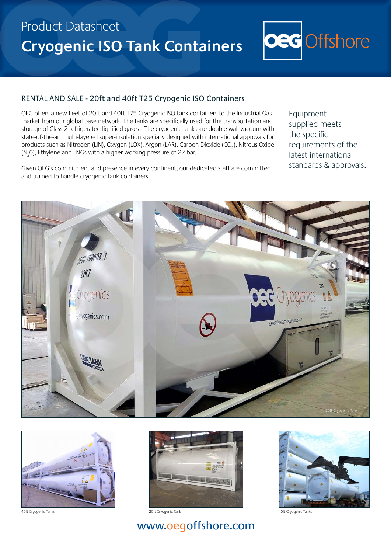# Product Datasheet **Cryogenic ISO Tank Containers**



#### RENTAL AND SALE - 20ft and 40ft T25 Cryogenic ISO Containers

OEG offers a new fleet of 20ft and 40ft T75 Cryogenic ISO tank containers to the Industrial Gas market from our global base network. The tanks are specifically used for the transportation and storage of Class 2 refrigerated liquified gases. The cryogenic tanks are double wall vacuum with state-of-the-art multi-layered super-insulation specially designed with international approvals for products such as Nitrogen (LIN), Oxygen (LOX), Argon (LAR), Carbon Dioxide (CO<sub>2</sub>), Nitrous Oxide ( $N_2$ 0), Ethylene and LNGs with a higher working pressure of 22 bar.

Given OEG's commitment and presence in every continent, our dedicated staff are committed and trained to handle cryogenic tank containers.

Equipment supplied meets the specific requirements of the latest international standards & approvals.





40ft Cryogenic Tanks 40ft Cryogenic Tanks



20ft Cryogenic Tank



## www.oegoffshore.com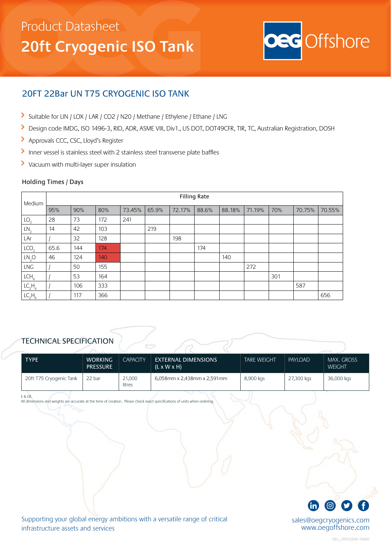## Product Datasheet **20ft Cryogenic ISO Tank**



### 20FT 22Bar UN T75 CRYOGENIC ISO TANK

- Suitable for LIN / LOX / LAR / CO2 / N20 / Methane / Ethylene / Ethane / LNG
- $\blacktriangleright$ Design code IMDG, ISO 1496-3, RID, ADR, ASME VIII, Div1., US DOT, DOT49CFR, TIR, TC, Australian Registration, DOSH
- $\blacktriangleright$ Approvals CCC, CSC, Lloyd's Register
- Inner vessel is stainless steel with 2 stainless steel transverse plate baffles
- Vacuum with multi-layer super insulation

#### Holding Times / Days

| Medium                         | <b>Filling Rate</b> |     |     |        |       |        |       |        |        |     |        |        |
|--------------------------------|---------------------|-----|-----|--------|-------|--------|-------|--------|--------|-----|--------|--------|
|                                | 95%                 | 90% | 80% | 73.45% | 65.9% | 72.17% | 88.6% | 88.18% | 71.19% | 70% | 70.75% | 70.55% |
| LO <sub>2</sub>                | 28                  | 73  | 172 | 241    |       |        |       |        |        |     |        |        |
| LN <sub>2</sub>                | 14                  | 42  | 103 |        | 219   |        |       |        |        |     |        |        |
| LAr                            |                     | 32  | 128 |        |       | 198    |       |        |        |     |        |        |
| LCO <sub>2</sub>               | 65.6                | 144 | 174 |        |       |        | 174   |        |        |     |        |        |
| LN <sub>2</sub> O              | 46                  | 124 | 140 |        |       |        |       | 140    |        |     |        |        |
| LNG                            |                     | 50  | 155 |        |       |        |       |        | 272    |     |        |        |
| LCH <sub>4</sub>               |                     | 53  | 164 |        |       |        |       |        |        | 301 |        |        |
| LC <sub>2</sub> H <sub>4</sub> |                     | 106 | 333 |        |       |        |       |        |        |     | 587    |        |
| LC <sub>2</sub> H <sub>6</sub> |                     | 117 | 366 |        |       |        |       |        |        |     |        | 656    |

### TECHNICAL SPECIFICATION

| <b>TYPE</b>             | <b>WORKING</b><br><b>PRESSURE</b> | <b>CAPACITY</b>  | <b>EXTERNAL DIMENSIONS</b><br>$(L \times W \times H)$ | <b>TARE WEIGHT</b> | PAYLOAD    | <b>MAX. GROSS</b><br><b>WEIGHT</b> |
|-------------------------|-----------------------------------|------------------|-------------------------------------------------------|--------------------|------------|------------------------------------|
| 20ft T75 Cryogenic Tank | 22 bar                            | 21,000<br>litres | 6,058mm x 2,438mm x 2,591mm                           | 8,900 kgs          | 27,300 kgs | 36,000 kgs                         |

E & OE

All dimensions and weights are accurate at the time of creation. Please check exact specifications of units when orderi



sales@oegcryogenics.com www.oegoffshore.com

Supporting your global energy ambitions with a versatile range of critical infrastructure assets and services